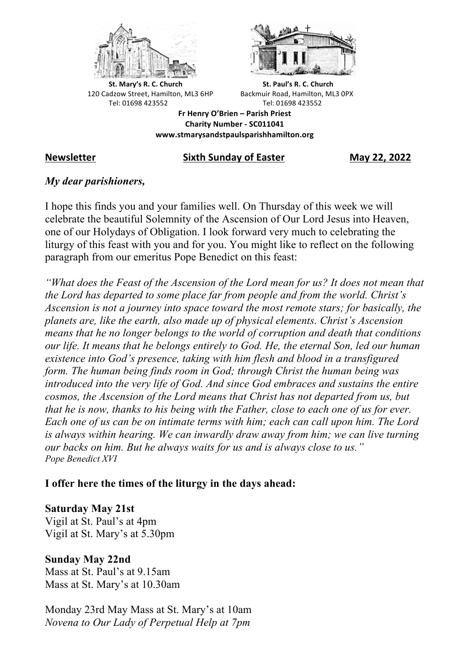



**St.** Mary's R. C. Church St. Paul's R. C. Church 120 Cadzow Street, Hamilton, ML3 6HP Backmuir Road, Hamilton, ML3 0PX Tel: 01698 423552 Tel: 01698 423552

**Fr Henry O'Brien – Parish Priest Charity Number - SC011041 www.stmarysandstpaulsparishhamilton.org**

#### **Newsletter Sixth Sunday of Easter May 22, 2022**

#### *My dear parishioners,*

I hope this finds you and your families well. On Thursday of this week we will celebrate the beautiful Solemnity of the Ascension of Our Lord Jesus into Heaven, one of our Holydays of Obligation. I look forward very much to celebrating the liturgy of this feast with you and for you. You might like to reflect on the following paragraph from our emeritus Pope Benedict on this feast:

*"What does the Feast of the Ascension of the Lord mean for us? It does not mean that the Lord has departed to some place far from people and from the world. Christ's Ascension is not a journey into space toward the most remote stars; for basically, the planets are, like the earth, also made up of physical elements. Christ's Ascension means that he no longer belongs to the world of corruption and death that conditions our life. It means that he belongs entirely to God. He, the eternal Son, led our human existence into God's presence, taking with him flesh and blood in a transfigured form. The human being finds room in God; through Christ the human being was introduced into the very life of God. And since God embraces and sustains the entire cosmos, the Ascension of the Lord means that Christ has not departed from us, but that he is now, thanks to his being with the Father, close to each one of us for ever. Each one of us can be on intimate terms with him; each can call upon him. The Lord is always within hearing. We can inwardly draw away from him; we can live turning our backs on him. But he always waits for us and is always close to us." Pope Benedict XVI*

# **I offer here the times of the liturgy in the days ahead:**

# **Saturday May 21st**

Vigil at St. Paul's at 4pm Vigil at St. Mary's at 5.30pm

# **Sunday May 22nd**

Mass at St. Paul's at 9.15am Mass at St. Mary's at 10.30am

Monday 23rd May Mass at St. Mary's at 10am *Novena to Our Lady of Perpetual Help at 7pm*